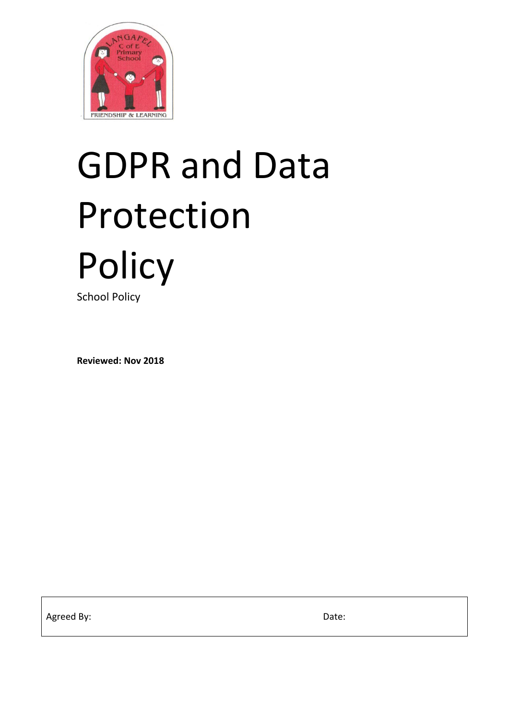

# GDPR and Data Protection **Policy**

School Policy

**Reviewed: Nov 2018**

Agreed By: Date: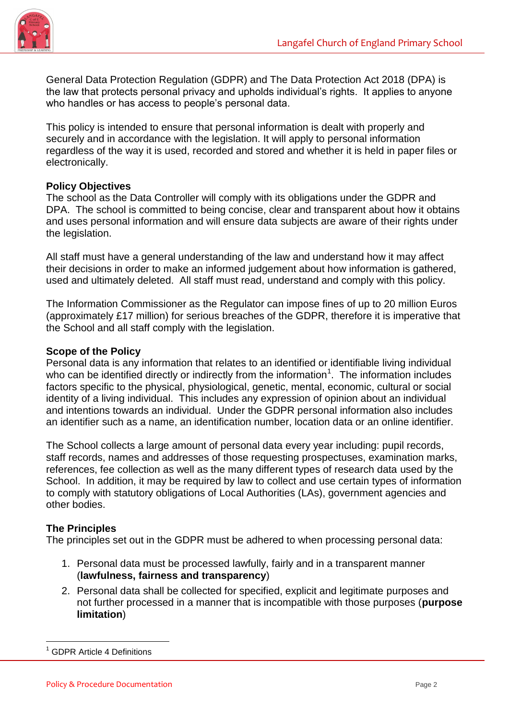

General Data Protection Regulation (GDPR) and The Data Protection Act 2018 (DPA) is the law that protects personal privacy and upholds individual's rights. It applies to anyone who handles or has access to people's personal data.

This policy is intended to ensure that personal information is dealt with properly and securely and in accordance with the legislation. It will apply to personal information regardless of the way it is used, recorded and stored and whether it is held in paper files or electronically.

#### **Policy Objectives**

The school as the Data Controller will comply with its obligations under the GDPR and DPA. The school is committed to being concise, clear and transparent about how it obtains and uses personal information and will ensure data subjects are aware of their rights under the legislation.

All staff must have a general understanding of the law and understand how it may affect their decisions in order to make an informed judgement about how information is gathered, used and ultimately deleted. All staff must read, understand and comply with this policy.

The Information Commissioner as the Regulator can impose fines of up to 20 million Euros (approximately £17 million) for serious breaches of the GDPR, therefore it is imperative that the School and all staff comply with the legislation.

#### **Scope of the Policy**

Personal data is any information that relates to an identified or identifiable living individual who can be identified directly or indirectly from the information<sup>1</sup>. The information includes factors specific to the physical, physiological, genetic, mental, economic, cultural or social identity of a living individual. This includes any expression of opinion about an individual and intentions towards an individual. Under the GDPR personal information also includes an identifier such as a name, an identification number, location data or an online identifier.

The School collects a large amount of personal data every year including: pupil records, staff records, names and addresses of those requesting prospectuses, examination marks, references, fee collection as well as the many different types of research data used by the School. In addition, it may be required by law to collect and use certain types of information to comply with statutory obligations of Local Authorities (LAs), government agencies and other bodies.

#### **The Principles**

The principles set out in the GDPR must be adhered to when processing personal data:

- 1. Personal data must be processed lawfully, fairly and in a transparent manner (**lawfulness, fairness and transparency**)
- 2. Personal data shall be collected for specified, explicit and legitimate purposes and not further processed in a manner that is incompatible with those purposes (**purpose limitation**)

<sup>-</sup><sup>1</sup> GDPR Article 4 Definitions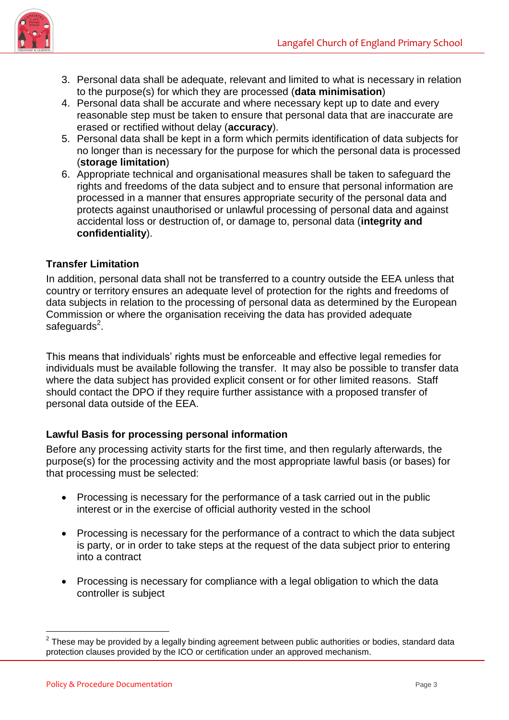

- 3. Personal data shall be adequate, relevant and limited to what is necessary in relation to the purpose(s) for which they are processed (**data minimisation**)
- 4. Personal data shall be accurate and where necessary kept up to date and every reasonable step must be taken to ensure that personal data that are inaccurate are erased or rectified without delay (**accuracy**).
- 5. Personal data shall be kept in a form which permits identification of data subjects for no longer than is necessary for the purpose for which the personal data is processed (**storage limitation**)
- 6. Appropriate technical and organisational measures shall be taken to safeguard the rights and freedoms of the data subject and to ensure that personal information are processed in a manner that ensures appropriate security of the personal data and protects against unauthorised or unlawful processing of personal data and against accidental loss or destruction of, or damage to, personal data (**integrity and confidentiality**).

# **Transfer Limitation**

In addition, personal data shall not be transferred to a country outside the EEA unless that country or territory ensures an adequate level of protection for the rights and freedoms of data subjects in relation to the processing of personal data as determined by the European Commission or where the organisation receiving the data has provided adequate safeguards<sup>2</sup>.

This means that individuals' rights must be enforceable and effective legal remedies for individuals must be available following the transfer. It may also be possible to transfer data where the data subject has provided explicit consent or for other limited reasons. Staff should contact the DPO if they require further assistance with a proposed transfer of personal data outside of the EEA.

# **Lawful Basis for processing personal information**

Before any processing activity starts for the first time, and then regularly afterwards, the purpose(s) for the processing activity and the most appropriate lawful basis (or bases) for that processing must be selected:

- Processing is necessary for the performance of a task carried out in the public interest or in the exercise of official authority vested in the school
- Processing is necessary for the performance of a contract to which the data subject is party, or in order to take steps at the request of the data subject prior to entering into a contract
- Processing is necessary for compliance with a legal obligation to which the data controller is subject

-

 $2$  These may be provided by a legally binding agreement between public authorities or bodies, standard data protection clauses provided by the ICO or certification under an approved mechanism.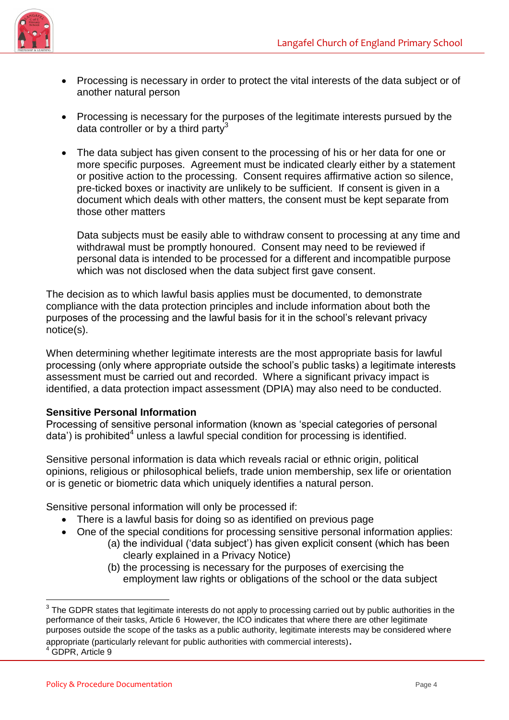

- Processing is necessary in order to protect the vital interests of the data subject or of another natural person
- Processing is necessary for the purposes of the legitimate interests pursued by the data controller or by a third party<sup>3</sup>
- The data subject has given consent to the processing of his or her data for one or more specific purposes. Agreement must be indicated clearly either by a statement or positive action to the processing. Consent requires affirmative action so silence, pre-ticked boxes or inactivity are unlikely to be sufficient. If consent is given in a document which deals with other matters, the consent must be kept separate from those other matters

Data subjects must be easily able to withdraw consent to processing at any time and withdrawal must be promptly honoured. Consent may need to be reviewed if personal data is intended to be processed for a different and incompatible purpose which was not disclosed when the data subject first gave consent.

The decision as to which lawful basis applies must be documented, to demonstrate compliance with the data protection principles and include information about both the purposes of the processing and the lawful basis for it in the school's relevant privacy notice(s).

When determining whether legitimate interests are the most appropriate basis for lawful processing (only where appropriate outside the school's public tasks) a legitimate interests assessment must be carried out and recorded. Where a significant privacy impact is identified, a data protection impact assessment (DPIA) may also need to be conducted.

# **Sensitive Personal Information**

Processing of sensitive personal information (known as 'special categories of personal data') is prohibited<sup>4</sup> unless a lawful special condition for processing is identified.

Sensitive personal information is data which reveals racial or ethnic origin, political opinions, religious or philosophical beliefs, trade union membership, sex life or orientation or is genetic or biometric data which uniquely identifies a natural person.

Sensitive personal information will only be processed if:

- There is a lawful basis for doing so as identified on previous page
- One of the special conditions for processing sensitive personal information applies:
	- (a) the individual ('data subject') has given explicit consent (which has been clearly explained in a Privacy Notice)
		- (b) the processing is necessary for the purposes of exercising the employment law rights or obligations of the school or the data subject

-

 $3$  The GDPR states that legitimate interests do not apply to processing carried out by public authorities in the performance of their tasks, Article 6 However, the ICO indicates that where there are other legitimate purposes outside the scope of the tasks as a public authority, legitimate interests may be considered where appropriate (particularly relevant for public authorities with commercial interests).

<sup>4</sup> GDPR, Article 9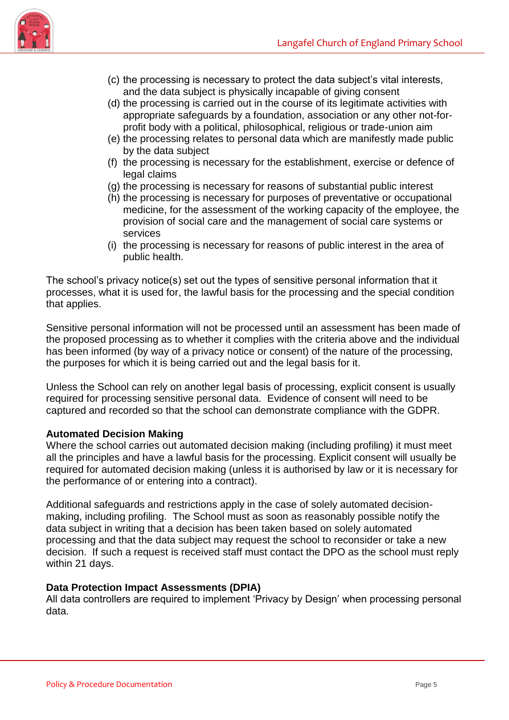

- (c) the processing is necessary to protect the data subject's vital interests, and the data subject is physically incapable of giving consent
- (d) the processing is carried out in the course of its legitimate activities with appropriate safeguards by a foundation, association or any other not-forprofit body with a political, philosophical, religious or trade-union aim
- (e) the processing relates to personal data which are manifestly made public by the data subject
- (f) the processing is necessary for the establishment, exercise or defence of legal claims
- (g) the processing is necessary for reasons of substantial public interest
- (h) the processing is necessary for purposes of preventative or occupational medicine, for the assessment of the working capacity of the employee, the provision of social care and the management of social care systems or services
- (i) the processing is necessary for reasons of public interest in the area of public health.

The school's privacy notice(s) set out the types of sensitive personal information that it processes, what it is used for, the lawful basis for the processing and the special condition that applies.

Sensitive personal information will not be processed until an assessment has been made of the proposed processing as to whether it complies with the criteria above and the individual has been informed (by way of a privacy notice or consent) of the nature of the processing, the purposes for which it is being carried out and the legal basis for it.

Unless the School can rely on another legal basis of processing, explicit consent is usually required for processing sensitive personal data. Evidence of consent will need to be captured and recorded so that the school can demonstrate compliance with the GDPR.

# **Automated Decision Making**

Where the school carries out automated decision making (including profiling) it must meet all the principles and have a lawful basis for the processing. Explicit consent will usually be required for automated decision making (unless it is authorised by law or it is necessary for the performance of or entering into a contract).

Additional safeguards and restrictions apply in the case of solely automated decisionmaking, including profiling. The School must as soon as reasonably possible notify the data subject in writing that a decision has been taken based on solely automated processing and that the data subject may request the school to reconsider or take a new decision. If such a request is received staff must contact the DPO as the school must reply within 21 days.

#### **Data Protection Impact Assessments (DPIA)**

All data controllers are required to implement 'Privacy by Design' when processing personal data.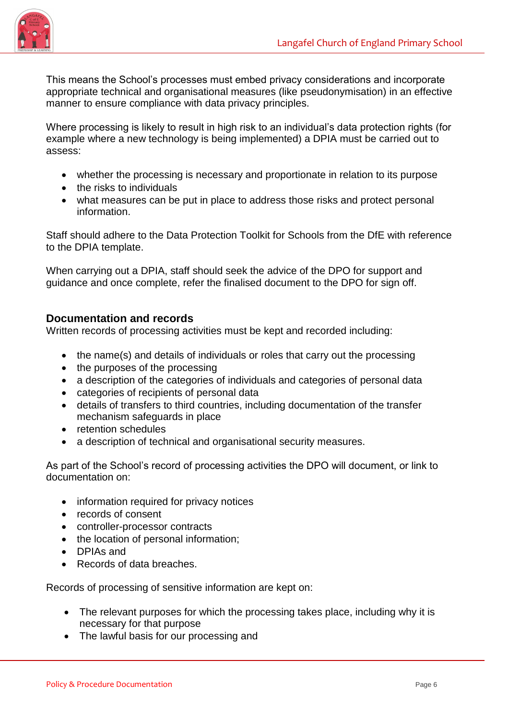

This means the School's processes must embed privacy considerations and incorporate appropriate technical and organisational measures (like pseudonymisation) in an effective manner to ensure compliance with data privacy principles.

Where processing is likely to result in high risk to an individual's data protection rights (for example where a new technology is being implemented) a DPIA must be carried out to assess:

- whether the processing is necessary and proportionate in relation to its purpose
- $\bullet$  the risks to individuals
- what measures can be put in place to address those risks and protect personal information.

Staff should adhere to the Data Protection Toolkit for Schools from the DfE with reference to the DPIA template.

When carrying out a DPIA, staff should seek the advice of the DPO for support and guidance and once complete, refer the finalised document to the DPO for sign off.

## **Documentation and records**

Written records of processing activities must be kept and recorded including:

- the name(s) and details of individuals or roles that carry out the processing
- the purposes of the processing
- a description of the categories of individuals and categories of personal data
- categories of recipients of personal data
- details of transfers to third countries, including documentation of the transfer mechanism safeguards in place
- retention schedules
- a description of technical and organisational security measures.

As part of the School's record of processing activities the DPO will document, or link to documentation on:

- information required for privacy notices
- records of consent
- controller-processor contracts
- the location of personal information;
- **DPIAs and**
- Records of data breaches.

Records of processing of sensitive information are kept on:

- The relevant purposes for which the processing takes place, including why it is necessary for that purpose
- The lawful basis for our processing and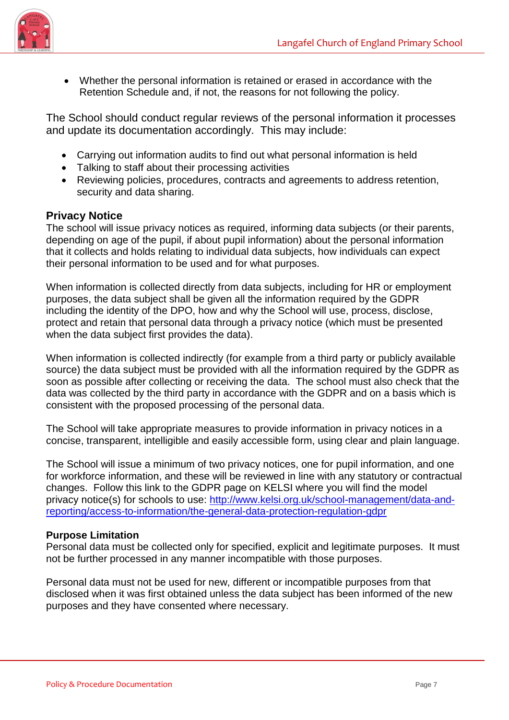

 Whether the personal information is retained or erased in accordance with the Retention Schedule and, if not, the reasons for not following the policy.

The School should conduct regular reviews of the personal information it processes and update its documentation accordingly. This may include:

- Carrying out information audits to find out what personal information is held
- Talking to staff about their processing activities
- Reviewing policies, procedures, contracts and agreements to address retention, security and data sharing.

# **Privacy Notice**

The school will issue privacy notices as required, informing data subjects (or their parents, depending on age of the pupil, if about pupil information) about the personal information that it collects and holds relating to individual data subjects, how individuals can expect their personal information to be used and for what purposes.

When information is collected directly from data subjects, including for HR or employment purposes, the data subject shall be given all the information required by the GDPR including the identity of the DPO, how and why the School will use, process, disclose, protect and retain that personal data through a privacy notice (which must be presented when the data subject first provides the data).

When information is collected indirectly (for example from a third party or publicly available source) the data subject must be provided with all the information required by the GDPR as soon as possible after collecting or receiving the data. The school must also check that the data was collected by the third party in accordance with the GDPR and on a basis which is consistent with the proposed processing of the personal data.

The School will take appropriate measures to provide information in privacy notices in a concise, transparent, intelligible and easily accessible form, using clear and plain language.

The School will issue a minimum of two privacy notices, one for pupil information, and one for workforce information, and these will be reviewed in line with any statutory or contractual changes. Follow this link to the GDPR page on KELSI where you will find the model privacy notice(s) for schools to use: [http://www.kelsi.org.uk/school-management/data-and](http://www.kelsi.org.uk/school-management/data-and-reporting/access-to-information/the-general-data-protection-regulation-gdpr)[reporting/access-to-information/the-general-data-protection-regulation-gdpr](http://www.kelsi.org.uk/school-management/data-and-reporting/access-to-information/the-general-data-protection-regulation-gdpr)

#### **Purpose Limitation**

Personal data must be collected only for specified, explicit and legitimate purposes. It must not be further processed in any manner incompatible with those purposes.

Personal data must not be used for new, different or incompatible purposes from that disclosed when it was first obtained unless the data subject has been informed of the new purposes and they have consented where necessary.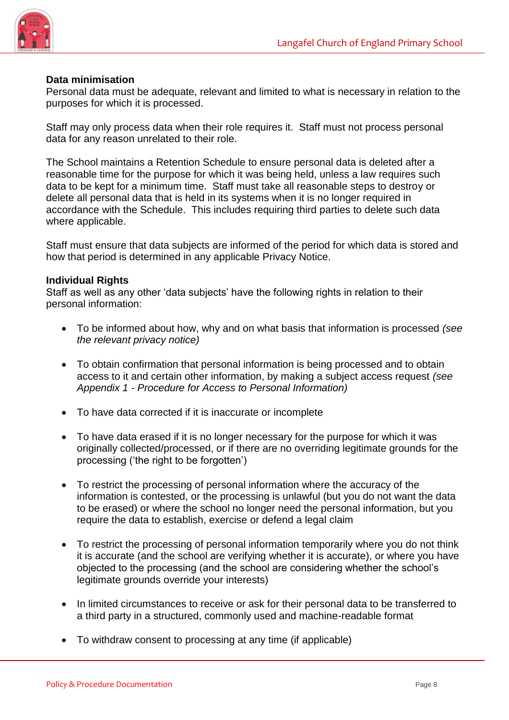

#### **Data minimisation**

Personal data must be adequate, relevant and limited to what is necessary in relation to the purposes for which it is processed.

Staff may only process data when their role requires it. Staff must not process personal data for any reason unrelated to their role.

The School maintains a Retention Schedule to ensure personal data is deleted after a reasonable time for the purpose for which it was being held, unless a law requires such data to be kept for a minimum time. Staff must take all reasonable steps to destroy or delete all personal data that is held in its systems when it is no longer required in accordance with the Schedule. This includes requiring third parties to delete such data where applicable.

Staff must ensure that data subjects are informed of the period for which data is stored and how that period is determined in any applicable Privacy Notice.

#### **Individual Rights**

Staff as well as any other 'data subjects' have the following rights in relation to their personal information:

- To be informed about how, why and on what basis that information is processed *(see the relevant privacy notice)*
- To obtain confirmation that personal information is being processed and to obtain access to it and certain other information, by making a subject access request *(see Appendix 1 - Procedure for Access to Personal Information)*
- To have data corrected if it is inaccurate or incomplete
- To have data erased if it is no longer necessary for the purpose for which it was originally collected/processed, or if there are no overriding legitimate grounds for the processing ('the right to be forgotten')
- To restrict the processing of personal information where the accuracy of the information is contested, or the processing is unlawful (but you do not want the data to be erased) or where the school no longer need the personal information, but you require the data to establish, exercise or defend a legal claim
- To restrict the processing of personal information temporarily where you do not think it is accurate (and the school are verifying whether it is accurate), or where you have objected to the processing (and the school are considering whether the school's legitimate grounds override your interests)
- In limited circumstances to receive or ask for their personal data to be transferred to a third party in a structured, commonly used and machine-readable format
- To withdraw consent to processing at any time (if applicable)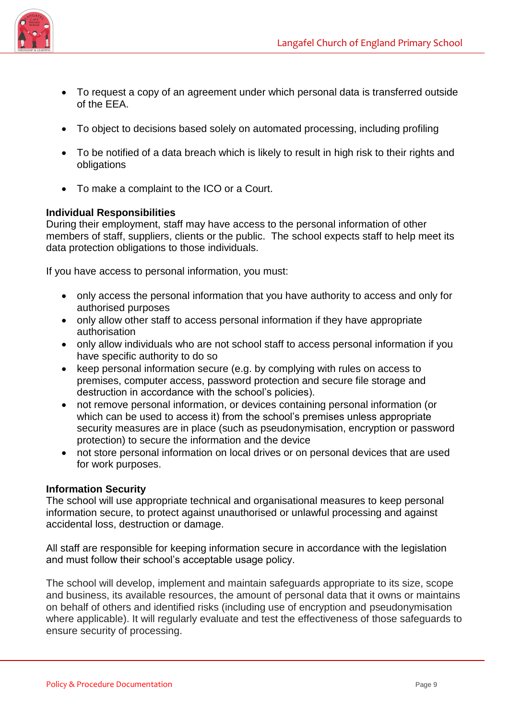

- To request a copy of an agreement under which personal data is transferred outside of the EEA.
- To object to decisions based solely on automated processing, including profiling
- To be notified of a data breach which is likely to result in high risk to their rights and obligations
- To make a complaint to the ICO or a Court.

## **Individual Responsibilities**

During their employment, staff may have access to the personal information of other members of staff, suppliers, clients or the public. The school expects staff to help meet its data protection obligations to those individuals.

If you have access to personal information, you must:

- only access the personal information that you have authority to access and only for authorised purposes
- only allow other staff to access personal information if they have appropriate authorisation
- only allow individuals who are not school staff to access personal information if you have specific authority to do so
- keep personal information secure (e.g. by complying with rules on access to premises, computer access, password protection and secure file storage and destruction in accordance with the school's policies).
- not remove personal information, or devices containing personal information (or which can be used to access it) from the school's premises unless appropriate security measures are in place (such as pseudonymisation, encryption or password protection) to secure the information and the device
- not store personal information on local drives or on personal devices that are used for work purposes.

#### **Information Security**

The school will use appropriate technical and organisational measures to keep personal information secure, to protect against unauthorised or unlawful processing and against accidental loss, destruction or damage.

All staff are responsible for keeping information secure in accordance with the legislation and must follow their school's acceptable usage policy.

The school will develop, implement and maintain safeguards appropriate to its size, scope and business, its available resources, the amount of personal data that it owns or maintains on behalf of others and identified risks (including use of encryption and pseudonymisation where applicable). It will regularly evaluate and test the effectiveness of those safeguards to ensure security of processing.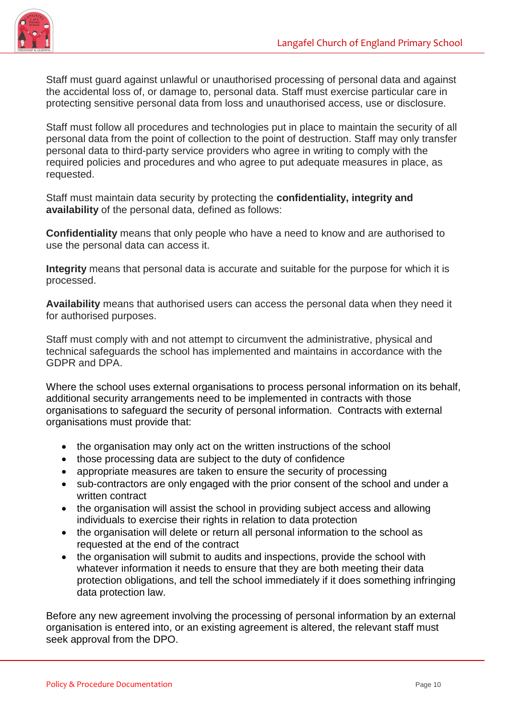

Staff must guard against unlawful or unauthorised processing of personal data and against the accidental loss of, or damage to, personal data. Staff must exercise particular care in protecting sensitive personal data from loss and unauthorised access, use or disclosure.

Staff must follow all procedures and technologies put in place to maintain the security of all personal data from the point of collection to the point of destruction. Staff may only transfer personal data to third-party service providers who agree in writing to comply with the required policies and procedures and who agree to put adequate measures in place, as requested.

Staff must maintain data security by protecting the **confidentiality, integrity and availability** of the personal data, defined as follows:

**Confidentiality** means that only people who have a need to know and are authorised to use the personal data can access it.

**Integrity** means that personal data is accurate and suitable for the purpose for which it is processed.

**Availability** means that authorised users can access the personal data when they need it for authorised purposes.

Staff must comply with and not attempt to circumvent the administrative, physical and technical safeguards the school has implemented and maintains in accordance with the GDPR and DPA.

Where the school uses external organisations to process personal information on its behalf, additional security arrangements need to be implemented in contracts with those organisations to safeguard the security of personal information. Contracts with external organisations must provide that:

- the organisation may only act on the written instructions of the school
- those processing data are subject to the duty of confidence
- appropriate measures are taken to ensure the security of processing
- sub-contractors are only engaged with the prior consent of the school and under a written contract
- the organisation will assist the school in providing subject access and allowing individuals to exercise their rights in relation to data protection
- the organisation will delete or return all personal information to the school as requested at the end of the contract
- the organisation will submit to audits and inspections, provide the school with whatever information it needs to ensure that they are both meeting their data protection obligations, and tell the school immediately if it does something infringing data protection law.

Before any new agreement involving the processing of personal information by an external organisation is entered into, or an existing agreement is altered, the relevant staff must seek approval from the DPO.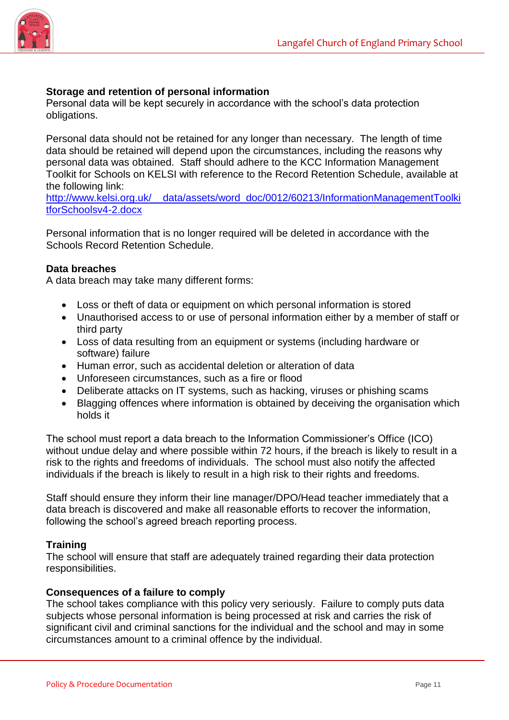

#### **Storage and retention of personal information**

Personal data will be kept securely in accordance with the school's data protection obligations.

Personal data should not be retained for any longer than necessary. The length of time data should be retained will depend upon the circumstances, including the reasons why personal data was obtained. Staff should adhere to the KCC Information Management Toolkit for Schools on KELSI with reference to the Record Retention Schedule, available at the following link:

[http://www.kelsi.org.uk/\\_\\_data/assets/word\\_doc/0012/60213/InformationManagementToolki](http://www.kelsi.org.uk/__data/assets/word_doc/0012/60213/InformationManagementToolkitforSchoolsv4-2.docx) [tforSchoolsv4-2.docx](http://www.kelsi.org.uk/__data/assets/word_doc/0012/60213/InformationManagementToolkitforSchoolsv4-2.docx)

Personal information that is no longer required will be deleted in accordance with the Schools Record Retention Schedule.

#### **Data breaches**

A data breach may take many different forms:

- Loss or theft of data or equipment on which personal information is stored
- Unauthorised access to or use of personal information either by a member of staff or third party
- Loss of data resulting from an equipment or systems (including hardware or software) failure
- Human error, such as accidental deletion or alteration of data
- Unforeseen circumstances, such as a fire or flood
- Deliberate attacks on IT systems, such as hacking, viruses or phishing scams
- Blagging offences where information is obtained by deceiving the organisation which holds it

The school must report a data breach to the Information Commissioner's Office (ICO) without undue delay and where possible within 72 hours, if the breach is likely to result in a risk to the rights and freedoms of individuals. The school must also notify the affected individuals if the breach is likely to result in a high risk to their rights and freedoms.

Staff should ensure they inform their line manager/DPO/Head teacher immediately that a data breach is discovered and make all reasonable efforts to recover the information, following the school's agreed breach reporting process.

#### **Training**

The school will ensure that staff are adequately trained regarding their data protection responsibilities.

#### **Consequences of a failure to comply**

The school takes compliance with this policy very seriously. Failure to comply puts data subjects whose personal information is being processed at risk and carries the risk of significant civil and criminal sanctions for the individual and the school and may in some circumstances amount to a criminal offence by the individual.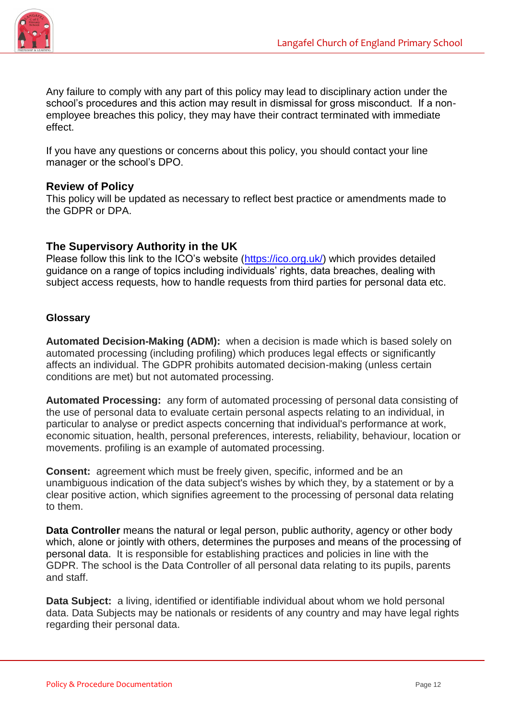

Any failure to comply with any part of this policy may lead to disciplinary action under the school's procedures and this action may result in dismissal for gross misconduct. If a nonemployee breaches this policy, they may have their contract terminated with immediate effect.

If you have any questions or concerns about this policy, you should contact your line manager or the school's DPO.

# **Review of Policy**

This policy will be updated as necessary to reflect best practice or amendments made to the GDPR or DPA.

# **The Supervisory Authority in the UK**

Please follow this link to the ICO's website [\(https://ico.org.uk/\)](https://ico.org.uk/) which provides detailed guidance on a range of topics including individuals' rights, data breaches, dealing with subject access requests, how to handle requests from third parties for personal data etc.

## **Glossary**

**Automated Decision-Making (ADM):** when a decision is made which is based solely on automated processing (including profiling) which produces legal effects or significantly affects an individual. The GDPR prohibits automated decision-making (unless certain conditions are met) but not automated processing.

**Automated Processing:** any form of automated processing of personal data consisting of the use of personal data to evaluate certain personal aspects relating to an individual, in particular to analyse or predict aspects concerning that individual's performance at work, economic situation, health, personal preferences, interests, reliability, behaviour, location or movements. profiling is an example of automated processing.

**Consent:** agreement which must be freely given, specific, informed and be an unambiguous indication of the data subject's wishes by which they, by a statement or by a clear positive action, which signifies agreement to the processing of personal data relating to them.

**Data Controller** means the natural or legal person, public authority, agency or other body which, alone or jointly with others, determines the purposes and means of the processing of personal data. It is responsible for establishing practices and policies in line with the GDPR. The school is the Data Controller of all personal data relating to its pupils, parents and staff.

**Data Subject:** a living, identified or identifiable individual about whom we hold personal data. Data Subjects may be nationals or residents of any country and may have legal rights regarding their personal data.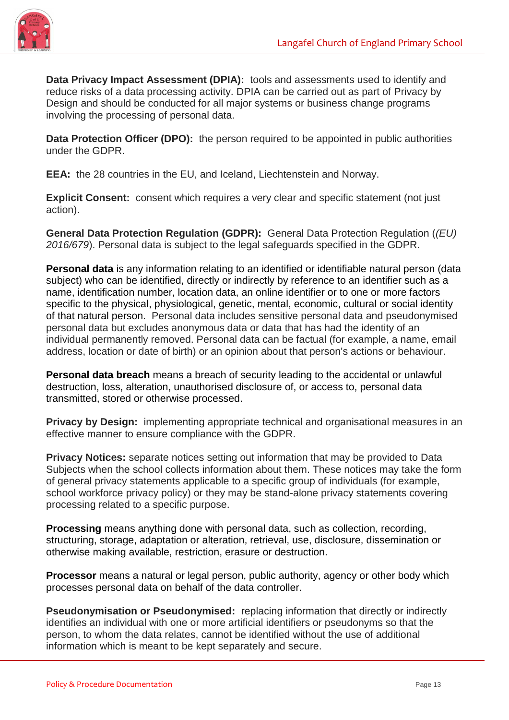

**Data Privacy Impact Assessment (DPIA):** tools and assessments used to identify and reduce risks of a data processing activity. DPIA can be carried out as part of Privacy by Design and should be conducted for all major systems or business change programs involving the processing of personal data.

**Data Protection Officer (DPO):** the person required to be appointed in public authorities under the GDPR.

**EEA:** the 28 countries in the EU, and Iceland, Liechtenstein and Norway.

**Explicit Consent:** consent which requires a very clear and specific statement (not just action).

**General Data Protection Regulation (GDPR):** General Data Protection Regulation (*(EU) 2016/679*). Personal data is subject to the legal safeguards specified in the GDPR.

**Personal data** is any information relating to an identified or identifiable natural person (data subject) who can be identified, directly or indirectly by reference to an identifier such as a name, identification number, location data, an online identifier or to one or more factors specific to the physical, physiological, genetic, mental, economic, cultural or social identity of that natural person. Personal data includes sensitive personal data and pseudonymised personal data but excludes anonymous data or data that has had the identity of an individual permanently removed. Personal data can be factual (for example, a name, email address, location or date of birth) or an opinion about that person's actions or behaviour.

**Personal data breach** means a breach of security leading to the accidental or unlawful destruction, loss, alteration, unauthorised disclosure of, or access to, personal data transmitted, stored or otherwise processed.

**Privacy by Design:** implementing appropriate technical and organisational measures in an effective manner to ensure compliance with the GDPR.

**Privacy Notices:** separate notices setting out information that may be provided to Data Subjects when the school collects information about them. These notices may take the form of general privacy statements applicable to a specific group of individuals (for example, school workforce privacy policy) or they may be stand-alone privacy statements covering processing related to a specific purpose.

**Processing** means anything done with personal data, such as collection, recording, structuring, storage, adaptation or alteration, retrieval, use, disclosure, dissemination or otherwise making available, restriction, erasure or destruction.

**Processor** means a natural or legal person, public authority, agency or other body which processes personal data on behalf of the data controller.

**Pseudonymisation or Pseudonymised:** replacing information that directly or indirectly identifies an individual with one or more artificial identifiers or pseudonyms so that the person, to whom the data relates, cannot be identified without the use of additional information which is meant to be kept separately and secure.